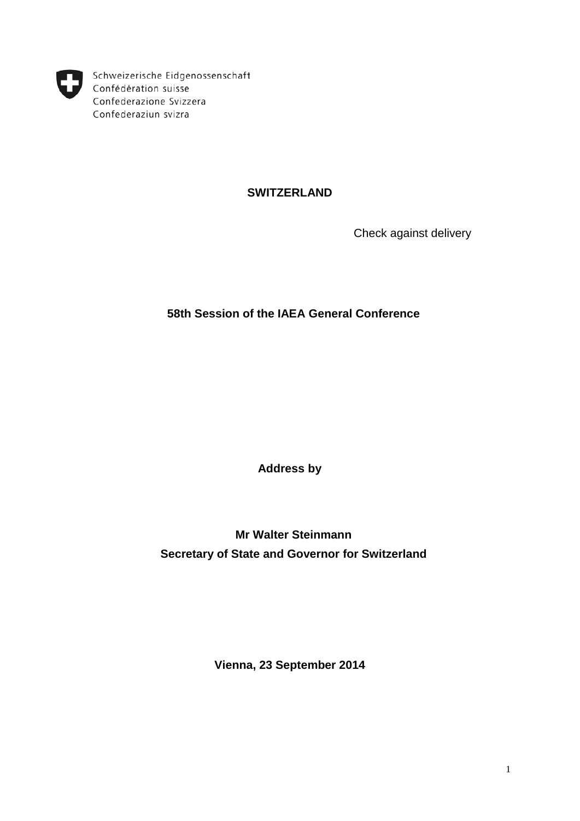

Schweizerische Eidgenossenschaft Confédération suisse Confederazione Svizzera Confederaziun svizra

## **SWITZERLAND**

Check against delivery

## **58th Session of the IAEA General Conference**

**Address by**

**Mr Walter Steinmann Secretary of State and Governor for Switzerland**

**Vienna, 23 September 2014**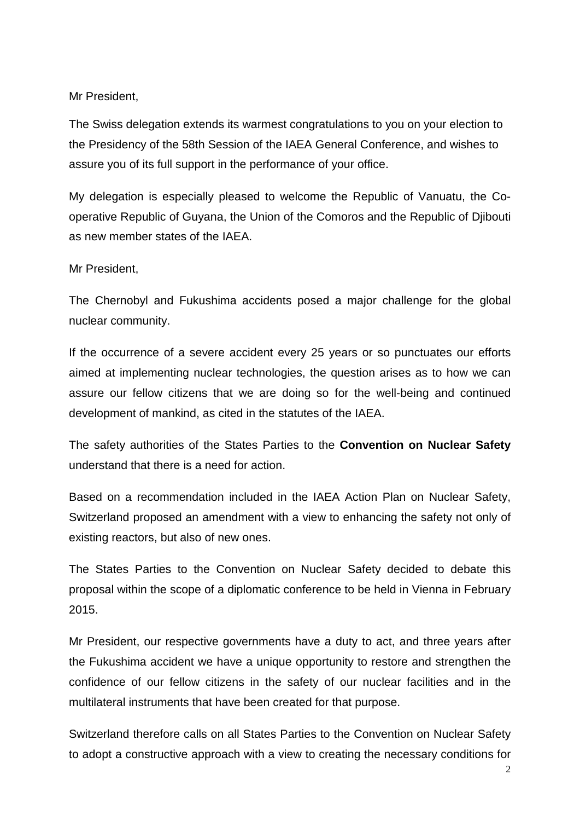## Mr President,

The Swiss delegation extends its warmest congratulations to you on your election to the Presidency of the 58th Session of the IAEA General Conference, and wishes to assure you of its full support in the performance of your office.

My delegation is especially pleased to welcome the Republic of Vanuatu, the Cooperative Republic of Guyana, the Union of the Comoros and the Republic of Djibouti as new member states of the IAEA.

## Mr President,

The Chernobyl and Fukushima accidents posed a major challenge for the global nuclear community.

If the occurrence of a severe accident every 25 years or so punctuates our efforts aimed at implementing nuclear technologies, the question arises as to how we can assure our fellow citizens that we are doing so for the well-being and continued development of mankind, as cited in the statutes of the IAEA.

The safety authorities of the States Parties to the **Convention on Nuclear Safety** understand that there is a need for action.

Based on a recommendation included in the IAEA Action Plan on Nuclear Safety, Switzerland proposed an amendment with a view to enhancing the safety not only of existing reactors, but also of new ones.

The States Parties to the Convention on Nuclear Safety decided to debate this proposal within the scope of a diplomatic conference to be held in Vienna in February 2015.

Mr President, our respective governments have a duty to act, and three years after the Fukushima accident we have a unique opportunity to restore and strengthen the confidence of our fellow citizens in the safety of our nuclear facilities and in the multilateral instruments that have been created for that purpose.

Switzerland therefore calls on all States Parties to the Convention on Nuclear Safety to adopt a constructive approach with a view to creating the necessary conditions for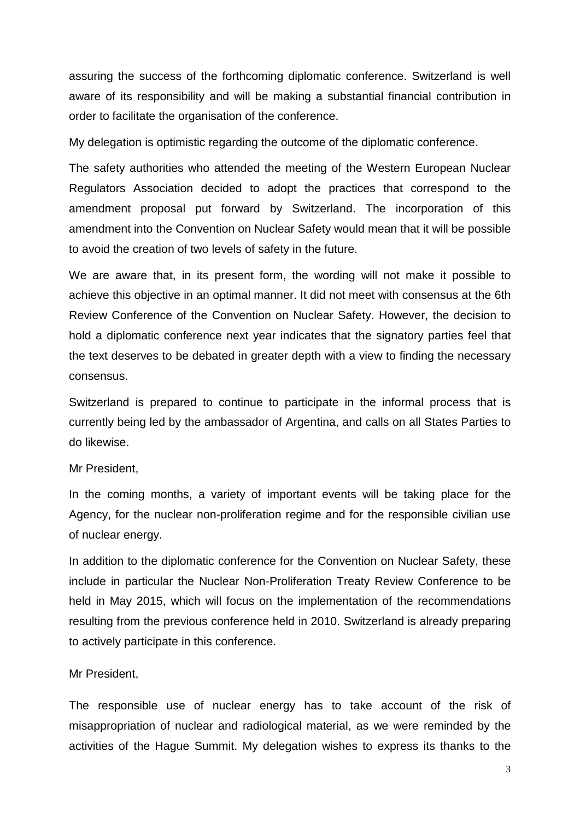assuring the success of the forthcoming diplomatic conference. Switzerland is well aware of its responsibility and will be making a substantial financial contribution in order to facilitate the organisation of the conference.

My delegation is optimistic regarding the outcome of the diplomatic conference.

The safety authorities who attended the meeting of the Western European Nuclear Regulators Association decided to adopt the practices that correspond to the amendment proposal put forward by Switzerland. The incorporation of this amendment into the Convention on Nuclear Safety would mean that it will be possible to avoid the creation of two levels of safety in the future.

We are aware that, in its present form, the wording will not make it possible to achieve this objective in an optimal manner. It did not meet with consensus at the 6th Review Conference of the Convention on Nuclear Safety. However, the decision to hold a diplomatic conference next year indicates that the signatory parties feel that the text deserves to be debated in greater depth with a view to finding the necessary consensus.

Switzerland is prepared to continue to participate in the informal process that is currently being led by the ambassador of Argentina, and calls on all States Parties to do likewise.

Mr President,

In the coming months, a variety of important events will be taking place for the Agency, for the nuclear non-proliferation regime and for the responsible civilian use of nuclear energy.

In addition to the diplomatic conference for the Convention on Nuclear Safety, these include in particular the Nuclear Non-Proliferation Treaty Review Conference to be held in May 2015, which will focus on the implementation of the recommendations resulting from the previous conference held in 2010. Switzerland is already preparing to actively participate in this conference.

Mr President,

The responsible use of nuclear energy has to take account of the risk of misappropriation of nuclear and radiological material, as we were reminded by the activities of the Hague Summit. My delegation wishes to express its thanks to the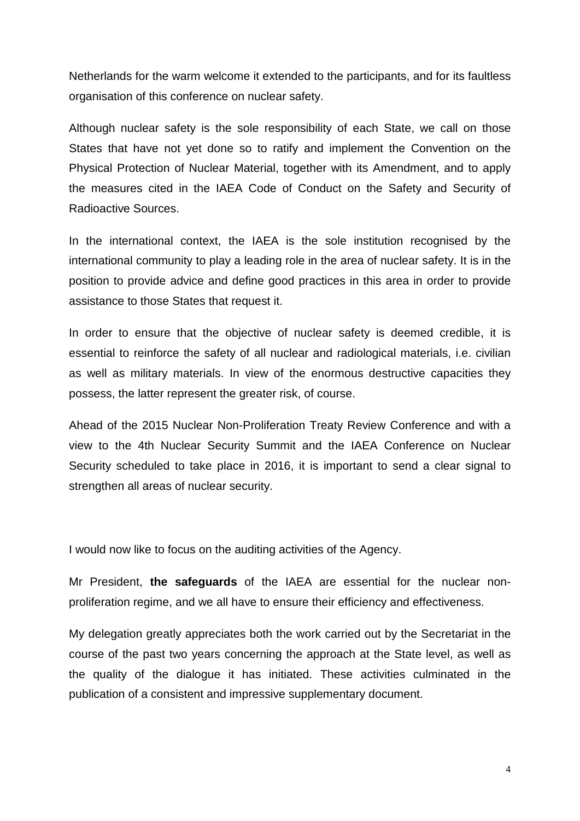Netherlands for the warm welcome it extended to the participants, and for its faultless organisation of this conference on nuclear safety.

Although nuclear safety is the sole responsibility of each State, we call on those States that have not yet done so to ratify and implement the Convention on the Physical Protection of Nuclear Material, together with its Amendment, and to apply the measures cited in the IAEA Code of Conduct on the Safety and Security of Radioactive Sources.

In the international context, the IAEA is the sole institution recognised by the international community to play a leading role in the area of nuclear safety. It is in the position to provide advice and define good practices in this area in order to provide assistance to those States that request it.

In order to ensure that the objective of nuclear safety is deemed credible, it is essential to reinforce the safety of all nuclear and radiological materials, i.e. civilian as well as military materials. In view of the enormous destructive capacities they possess, the latter represent the greater risk, of course.

Ahead of the 2015 Nuclear Non-Proliferation Treaty Review Conference and with a view to the 4th Nuclear Security Summit and the IAEA Conference on Nuclear Security scheduled to take place in 2016, it is important to send a clear signal to strengthen all areas of nuclear security.

I would now like to focus on the auditing activities of the Agency.

Mr President, **the safeguards** of the IAEA are essential for the nuclear nonproliferation regime, and we all have to ensure their efficiency and effectiveness.

My delegation greatly appreciates both the work carried out by the Secretariat in the course of the past two years concerning the approach at the State level, as well as the quality of the dialogue it has initiated. These activities culminated in the publication of a consistent and impressive supplementary document.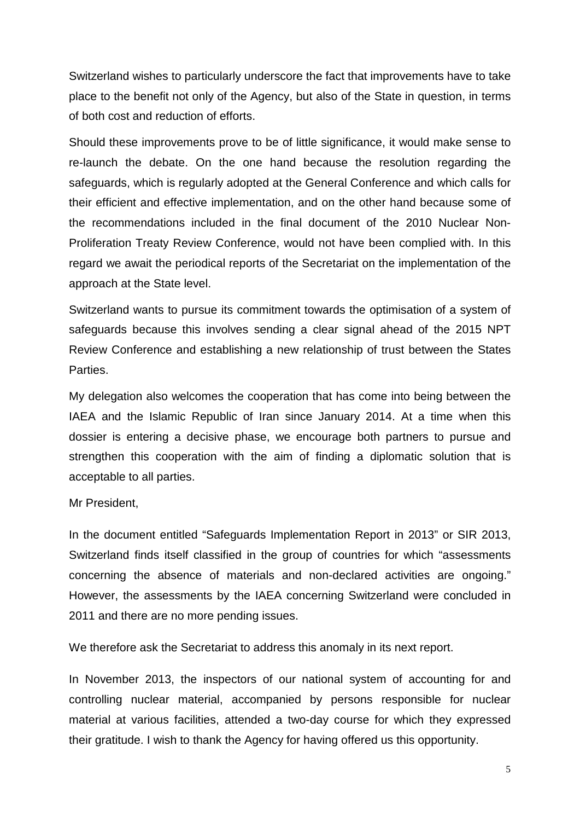Switzerland wishes to particularly underscore the fact that improvements have to take place to the benefit not only of the Agency, but also of the State in question, in terms of both cost and reduction of efforts.

Should these improvements prove to be of little significance, it would make sense to re-launch the debate. On the one hand because the resolution regarding the safeguards, which is regularly adopted at the General Conference and which calls for their efficient and effective implementation, and on the other hand because some of the recommendations included in the final document of the 2010 Nuclear Non-Proliferation Treaty Review Conference, would not have been complied with. In this regard we await the periodical reports of the Secretariat on the implementation of the approach at the State level.

Switzerland wants to pursue its commitment towards the optimisation of a system of safeguards because this involves sending a clear signal ahead of the 2015 NPT Review Conference and establishing a new relationship of trust between the States Parties.

My delegation also welcomes the cooperation that has come into being between the IAEA and the Islamic Republic of Iran since January 2014. At a time when this dossier is entering a decisive phase, we encourage both partners to pursue and strengthen this cooperation with the aim of finding a diplomatic solution that is acceptable to all parties.

Mr President,

In the document entitled "Safeguards Implementation Report in 2013" or SIR 2013, Switzerland finds itself classified in the group of countries for which "assessments concerning the absence of materials and non-declared activities are ongoing." However, the assessments by the IAEA concerning Switzerland were concluded in 2011 and there are no more pending issues.

We therefore ask the Secretariat to address this anomaly in its next report.

In November 2013, the inspectors of our national system of accounting for and controlling nuclear material, accompanied by persons responsible for nuclear material at various facilities, attended a two-day course for which they expressed their gratitude. I wish to thank the Agency for having offered us this opportunity.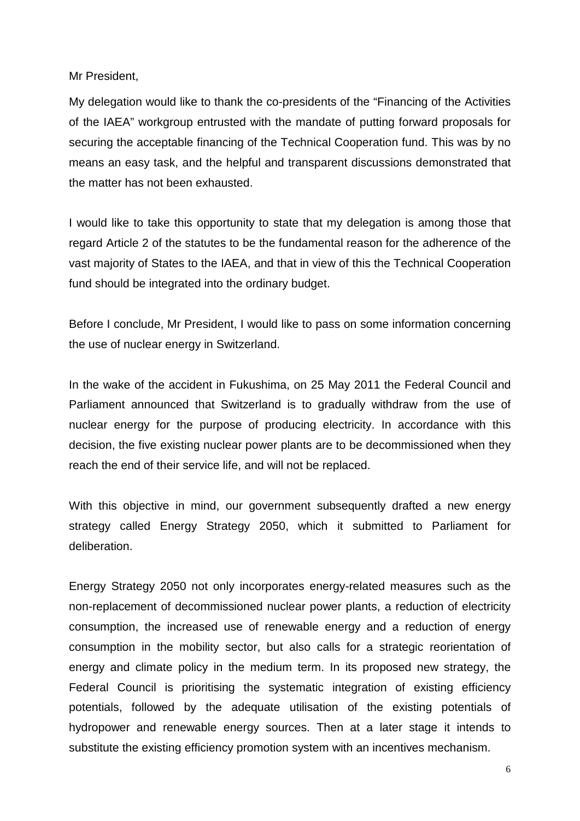Mr President,

My delegation would like to thank the co-presidents of the "Financing of the Activities of the IAEA" workgroup entrusted with the mandate of putting forward proposals for securing the acceptable financing of the Technical Cooperation fund. This was by no means an easy task, and the helpful and transparent discussions demonstrated that the matter has not been exhausted.

I would like to take this opportunity to state that my delegation is among those that regard Article 2 of the statutes to be the fundamental reason for the adherence of the vast majority of States to the IAEA, and that in view of this the Technical Cooperation fund should be integrated into the ordinary budget.

Before I conclude, Mr President, I would like to pass on some information concerning the use of nuclear energy in Switzerland.

In the wake of the accident in Fukushima, on 25 May 2011 the Federal Council and Parliament announced that Switzerland is to gradually withdraw from the use of nuclear energy for the purpose of producing electricity. In accordance with this decision, the five existing nuclear power plants are to be decommissioned when they reach the end of their service life, and will not be replaced.

With this objective in mind, our government subsequently drafted a new energy strategy called Energy Strategy 2050, which it submitted to Parliament for deliberation.

Energy Strategy 2050 not only incorporates energy-related measures such as the non-replacement of decommissioned nuclear power plants, a reduction of electricity consumption, the increased use of renewable energy and a reduction of energy consumption in the mobility sector, but also calls for a strategic reorientation of energy and climate policy in the medium term. In its proposed new strategy, the Federal Council is prioritising the systematic integration of existing efficiency potentials, followed by the adequate utilisation of the existing potentials of hydropower and renewable energy sources. Then at a later stage it intends to substitute the existing efficiency promotion system with an incentives mechanism.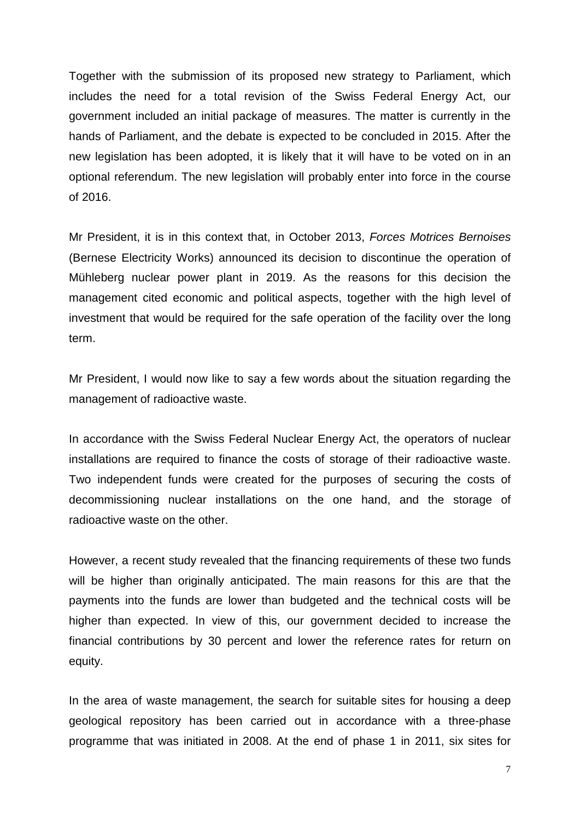Together with the submission of its proposed new strategy to Parliament, which includes the need for a total revision of the Swiss Federal Energy Act, our government included an initial package of measures. The matter is currently in the hands of Parliament, and the debate is expected to be concluded in 2015. After the new legislation has been adopted, it is likely that it will have to be voted on in an optional referendum. The new legislation will probably enter into force in the course of 2016.

Mr President, it is in this context that, in October 2013, *Forces Motrices Bernoises* (Bernese Electricity Works) announced its decision to discontinue the operation of Mühleberg nuclear power plant in 2019. As the reasons for this decision the management cited economic and political aspects, together with the high level of investment that would be required for the safe operation of the facility over the long term.

Mr President, I would now like to say a few words about the situation regarding the management of radioactive waste.

In accordance with the Swiss Federal Nuclear Energy Act, the operators of nuclear installations are required to finance the costs of storage of their radioactive waste. Two independent funds were created for the purposes of securing the costs of decommissioning nuclear installations on the one hand, and the storage of radioactive waste on the other.

However, a recent study revealed that the financing requirements of these two funds will be higher than originally anticipated. The main reasons for this are that the payments into the funds are lower than budgeted and the technical costs will be higher than expected. In view of this, our government decided to increase the financial contributions by 30 percent and lower the reference rates for return on equity.

In the area of waste management, the search for suitable sites for housing a deep geological repository has been carried out in accordance with a three-phase programme that was initiated in 2008. At the end of phase 1 in 2011, six sites for